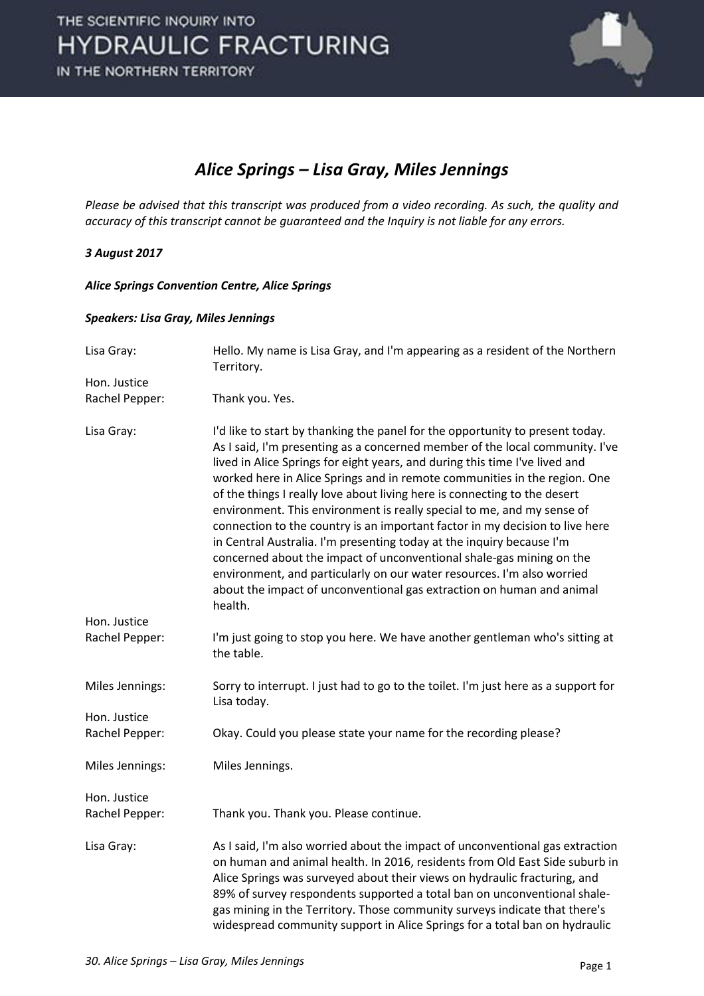

## *Alice Springs – Lisa Gray, Miles Jennings*

*Please be advised that this transcript was produced from a video recording. As such, the quality and accuracy of this transcript cannot be guaranteed and the Inquiry is not liable for any errors.*

## *3 August 2017*

*Alice Springs Convention Centre, Alice Springs* 

## *Speakers: Lisa Gray, Miles Jennings*

| Hello. My name is Lisa Gray, and I'm appearing as a resident of the Northern<br>Territory.                                                                                                                                                                                                                                                                                                                                                                                                                                                                                                                                                                                                                                                                                                                                                                                      |
|---------------------------------------------------------------------------------------------------------------------------------------------------------------------------------------------------------------------------------------------------------------------------------------------------------------------------------------------------------------------------------------------------------------------------------------------------------------------------------------------------------------------------------------------------------------------------------------------------------------------------------------------------------------------------------------------------------------------------------------------------------------------------------------------------------------------------------------------------------------------------------|
|                                                                                                                                                                                                                                                                                                                                                                                                                                                                                                                                                                                                                                                                                                                                                                                                                                                                                 |
| Thank you. Yes.                                                                                                                                                                                                                                                                                                                                                                                                                                                                                                                                                                                                                                                                                                                                                                                                                                                                 |
| I'd like to start by thanking the panel for the opportunity to present today.<br>As I said, I'm presenting as a concerned member of the local community. I've<br>lived in Alice Springs for eight years, and during this time I've lived and<br>worked here in Alice Springs and in remote communities in the region. One<br>of the things I really love about living here is connecting to the desert<br>environment. This environment is really special to me, and my sense of<br>connection to the country is an important factor in my decision to live here<br>in Central Australia. I'm presenting today at the inquiry because I'm<br>concerned about the impact of unconventional shale-gas mining on the<br>environment, and particularly on our water resources. I'm also worried<br>about the impact of unconventional gas extraction on human and animal<br>health. |
|                                                                                                                                                                                                                                                                                                                                                                                                                                                                                                                                                                                                                                                                                                                                                                                                                                                                                 |
| I'm just going to stop you here. We have another gentleman who's sitting at<br>the table.                                                                                                                                                                                                                                                                                                                                                                                                                                                                                                                                                                                                                                                                                                                                                                                       |
| Sorry to interrupt. I just had to go to the toilet. I'm just here as a support for<br>Lisa today.                                                                                                                                                                                                                                                                                                                                                                                                                                                                                                                                                                                                                                                                                                                                                                               |
|                                                                                                                                                                                                                                                                                                                                                                                                                                                                                                                                                                                                                                                                                                                                                                                                                                                                                 |
| Okay. Could you please state your name for the recording please?                                                                                                                                                                                                                                                                                                                                                                                                                                                                                                                                                                                                                                                                                                                                                                                                                |
| Miles Jennings.                                                                                                                                                                                                                                                                                                                                                                                                                                                                                                                                                                                                                                                                                                                                                                                                                                                                 |
|                                                                                                                                                                                                                                                                                                                                                                                                                                                                                                                                                                                                                                                                                                                                                                                                                                                                                 |
| Thank you. Thank you. Please continue.                                                                                                                                                                                                                                                                                                                                                                                                                                                                                                                                                                                                                                                                                                                                                                                                                                          |
| As I said, I'm also worried about the impact of unconventional gas extraction<br>on human and animal health. In 2016, residents from Old East Side suburb in<br>Alice Springs was surveyed about their views on hydraulic fracturing, and<br>89% of survey respondents supported a total ban on unconventional shale-<br>gas mining in the Territory. Those community surveys indicate that there's<br>widespread community support in Alice Springs for a total ban on hydraulic                                                                                                                                                                                                                                                                                                                                                                                               |
|                                                                                                                                                                                                                                                                                                                                                                                                                                                                                                                                                                                                                                                                                                                                                                                                                                                                                 |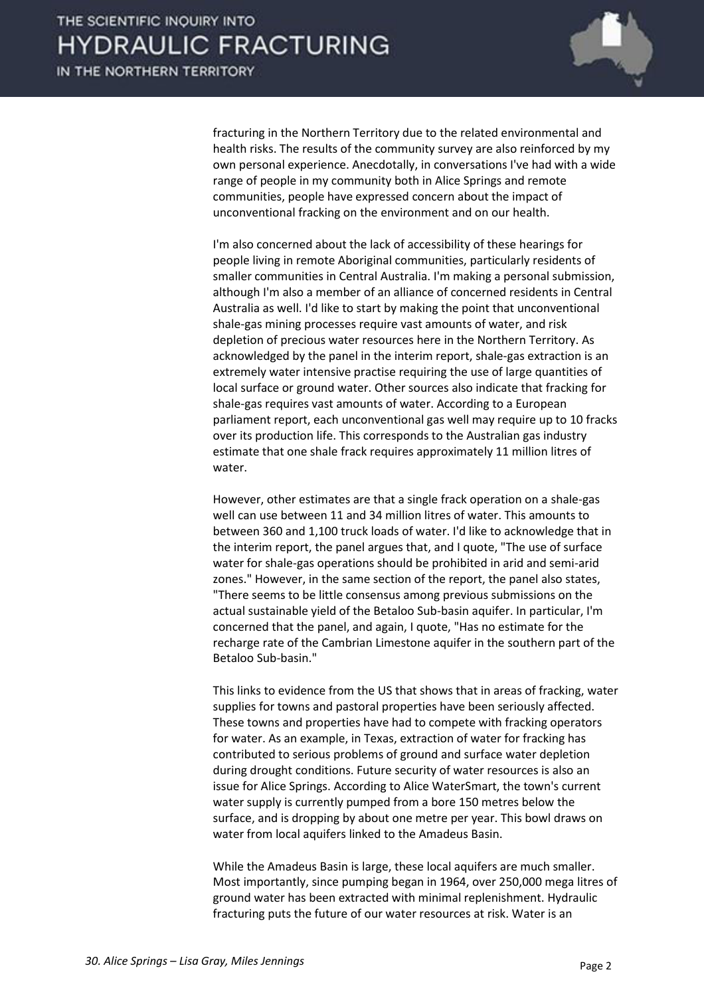

fracturing in the Northern Territory due to the related environmental and health risks. The results of the community survey are also reinforced by my own personal experience. Anecdotally, in conversations I've had with a wide range of people in my community both in Alice Springs and remote communities, people have expressed concern about the impact of unconventional fracking on the environment and on our health.

 I'm also concerned about the lack of accessibility of these hearings for people living in remote Aboriginal communities, particularly residents of smaller communities in Central Australia. I'm making a personal submission, although I'm also a member of an alliance of concerned residents in Central Australia as well. I'd like to start by making the point that unconventional shale-gas mining processes require vast amounts of water, and risk depletion of precious water resources here in the Northern Territory. As acknowledged by the panel in the interim report, shale-gas extraction is an extremely water intensive practise requiring the use of large quantities of local surface or ground water. Other sources also indicate that fracking for shale-gas requires vast amounts of water. According to a European parliament report, each unconventional gas well may require up to 10 fracks over its production life. This corresponds to the Australian gas industry estimate that one shale frack requires approximately 11 million litres of water.

 However, other estimates are that a single frack operation on a shale-gas well can use between 11 and 34 million litres of water. This amounts to between 360 and 1,100 truck loads of water. I'd like to acknowledge that in the interim report, the panel argues that, and I quote, "The use of surface water for shale-gas operations should be prohibited in arid and semi-arid zones." However, in the same section of the report, the panel also states, "There seems to be little consensus among previous submissions on the actual sustainable yield of the Betaloo Sub-basin aquifer. In particular, I'm concerned that the panel, and again, I quote, "Has no estimate for the recharge rate of the Cambrian Limestone aquifer in the southern part of the Betaloo Sub-basin."

 This links to evidence from the US that shows that in areas of fracking, water supplies for towns and pastoral properties have been seriously affected. These towns and properties have had to compete with fracking operators for water. As an example, in Texas, extraction of water for fracking has contributed to serious problems of ground and surface water depletion during drought conditions. Future security of water resources is also an issue for Alice Springs. According to Alice WaterSmart, the town's current water supply is currently pumped from a bore 150 metres below the surface, and is dropping by about one metre per year. This bowl draws on water from local aquifers linked to the Amadeus Basin.

 While the Amadeus Basin is large, these local aquifers are much smaller. Most importantly, since pumping began in 1964, over 250,000 mega litres of ground water has been extracted with minimal replenishment. Hydraulic fracturing puts the future of our water resources at risk. Water is an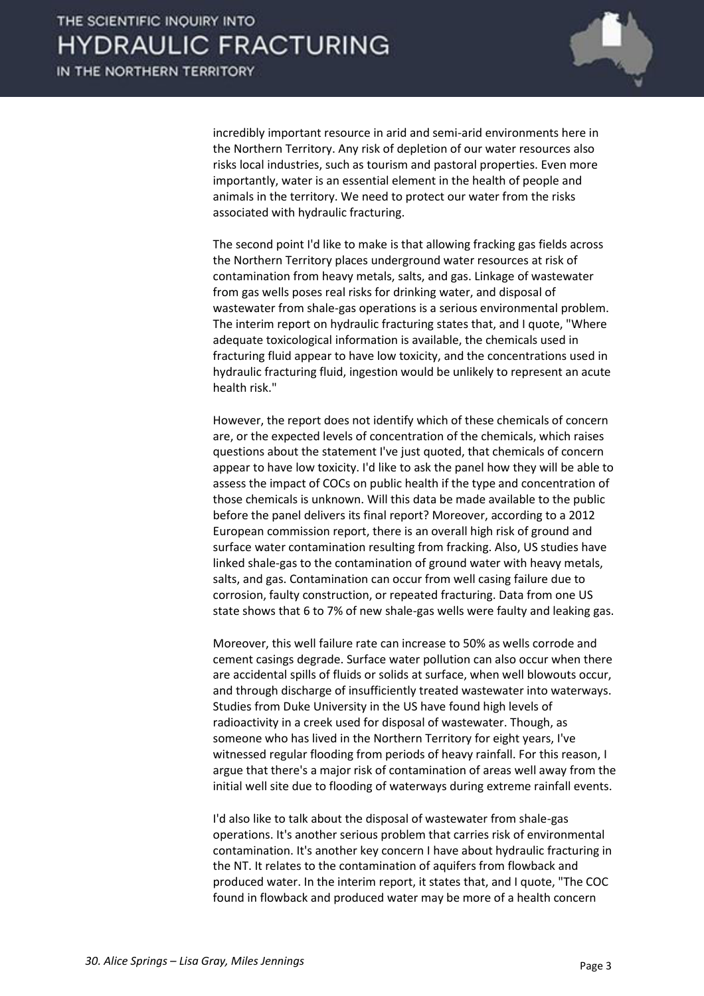

incredibly important resource in arid and semi-arid environments here in the Northern Territory. Any risk of depletion of our water resources also risks local industries, such as tourism and pastoral properties. Even more importantly, water is an essential element in the health of people and animals in the territory. We need to protect our water from the risks associated with hydraulic fracturing.

 The second point I'd like to make is that allowing fracking gas fields across the Northern Territory places underground water resources at risk of contamination from heavy metals, salts, and gas. Linkage of wastewater from gas wells poses real risks for drinking water, and disposal of wastewater from shale-gas operations is a serious environmental problem. The interim report on hydraulic fracturing states that, and I quote, "Where adequate toxicological information is available, the chemicals used in fracturing fluid appear to have low toxicity, and the concentrations used in hydraulic fracturing fluid, ingestion would be unlikely to represent an acute health risk."

 However, the report does not identify which of these chemicals of concern are, or the expected levels of concentration of the chemicals, which raises questions about the statement I've just quoted, that chemicals of concern appear to have low toxicity. I'd like to ask the panel how they will be able to assess the impact of COCs on public health if the type and concentration of those chemicals is unknown. Will this data be made available to the public before the panel delivers its final report? Moreover, according to a 2012 European commission report, there is an overall high risk of ground and surface water contamination resulting from fracking. Also, US studies have linked shale-gas to the contamination of ground water with heavy metals, salts, and gas. Contamination can occur from well casing failure due to corrosion, faulty construction, or repeated fracturing. Data from one US state shows that 6 to 7% of new shale-gas wells were faulty and leaking gas.

 Moreover, this well failure rate can increase to 50% as wells corrode and cement casings degrade. Surface water pollution can also occur when there are accidental spills of fluids or solids at surface, when well blowouts occur, and through discharge of insufficiently treated wastewater into waterways. Studies from Duke University in the US have found high levels of radioactivity in a creek used for disposal of wastewater. Though, as someone who has lived in the Northern Territory for eight years, I've witnessed regular flooding from periods of heavy rainfall. For this reason, I argue that there's a major risk of contamination of areas well away from the initial well site due to flooding of waterways during extreme rainfall events.

 I'd also like to talk about the disposal of wastewater from shale-gas operations. It's another serious problem that carries risk of environmental contamination. It's another key concern I have about hydraulic fracturing in the NT. It relates to the contamination of aquifers from flowback and produced water. In the interim report, it states that, and I quote, "The COC found in flowback and produced water may be more of a health concern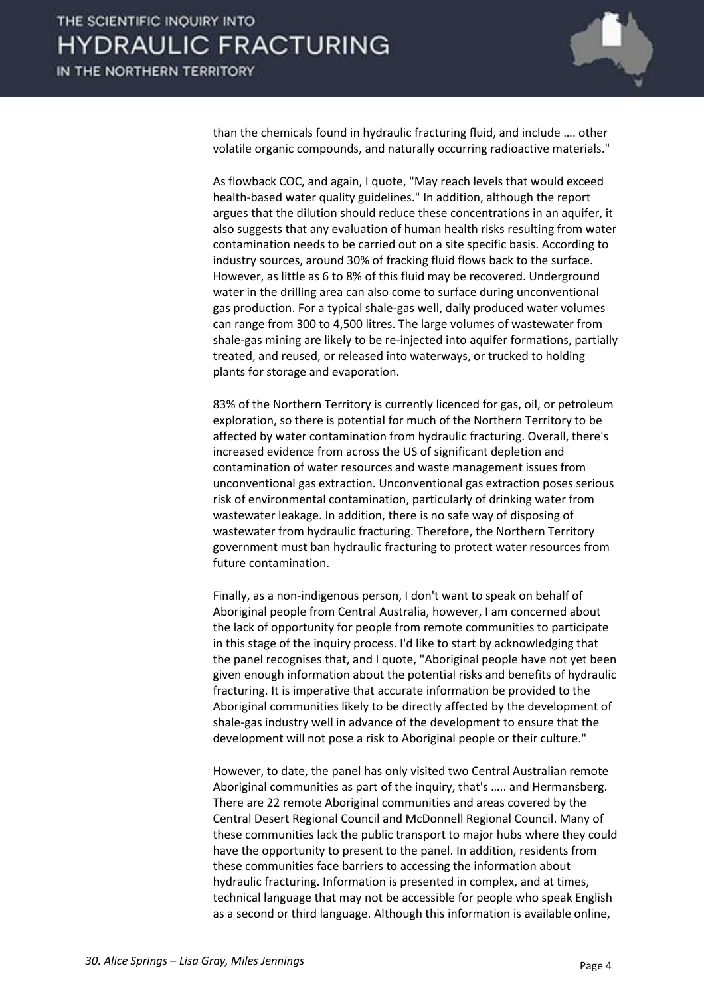

than the chemicals found in hydraulic fracturing fluid, and include .... other volatile organic compounds, and naturally occurring radioactive materials."

 As flowback COC, and again, I quote, "May reach levels that would exceed health-based water quality guidelines." In addition, although the report argues that the dilution should reduce these concentrations in an aquifer, it also suggests that any evaluation of human health risks resulting from water contamination needs to be carried out on a site specific basis. According to industry sources, around 30% of fracking fluid flows back to the surface. However, as little as 6 to 8% of this fluid may be recovered. Underground water in the drilling area can also come to surface during unconventional gas production. For a typical shale-gas well, daily produced water volumes can range from 300 to 4,500 litres. The large volumes of wastewater from shale-gas mining are likely to be re-injected into aquifer formations, partially treated, and reused, or released into waterways, or trucked to holding plants for storage and evaporation.

 83% of the Northern Territory is currently licenced for gas, oil, or petroleum exploration, so there is potential for much of the Northern Territory to be affected by water contamination from hydraulic fracturing. Overall, there's increased evidence from across the US of significant depletion and contamination of water resources and waste management issues from unconventional gas extraction. Unconventional gas extraction poses serious risk of environmental contamination, particularly of drinking water from wastewater leakage. In addition, there is no safe way of disposing of wastewater from hydraulic fracturing. Therefore, the Northern Territory government must ban hydraulic fracturing to protect water resources from future contamination.

 Finally, as a non-indigenous person, I don't want to speak on behalf of Aboriginal people from Central Australia, however, I am concerned about the lack of opportunity for people from remote communities to participate in this stage of the inquiry process. I'd like to start by acknowledging that the panel recognises that, and I quote, "Aboriginal people have not yet been given enough information about the potential risks and benefits of hydraulic fracturing. It is imperative that accurate information be provided to the Aboriginal communities likely to be directly affected by the development of shale-gas industry well in advance of the development to ensure that the development will not pose a risk to Aboriginal people or their culture."

 However, to date, the panel has only visited two Central Australian remote Aboriginal communities as part of the inquiry, that's ..... and Hermansberg. There are 22 remote Aboriginal communities and areas covered by the Central Desert Regional Council and McDonnell Regional Council. Many of these communities lack the public transport to major hubs where they could have the opportunity to present to the panel. In addition, residents from these communities face barriers to accessing the information about hydraulic fracturing. Information is presented in complex, and at times, technical language that may not be accessible for people who speak English as a second or third language. Although this information is available online,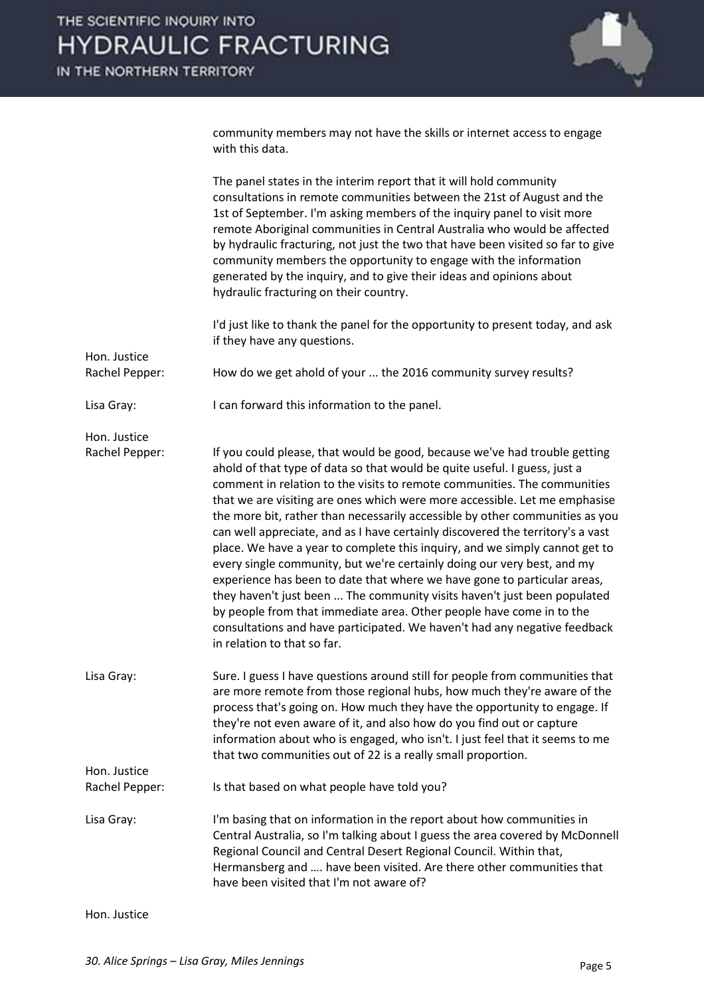

community members may not have the skills or internet access to engage with this data.

|                                | The panel states in the interim report that it will hold community<br>consultations in remote communities between the 21st of August and the<br>1st of September. I'm asking members of the inquiry panel to visit more<br>remote Aboriginal communities in Central Australia who would be affected<br>by hydraulic fracturing, not just the two that have been visited so far to give<br>community members the opportunity to engage with the information<br>generated by the inquiry, and to give their ideas and opinions about<br>hydraulic fracturing on their country.                                                                                                                                                                                                                                                                                                                                                                                                              |
|--------------------------------|-------------------------------------------------------------------------------------------------------------------------------------------------------------------------------------------------------------------------------------------------------------------------------------------------------------------------------------------------------------------------------------------------------------------------------------------------------------------------------------------------------------------------------------------------------------------------------------------------------------------------------------------------------------------------------------------------------------------------------------------------------------------------------------------------------------------------------------------------------------------------------------------------------------------------------------------------------------------------------------------|
|                                | I'd just like to thank the panel for the opportunity to present today, and ask<br>if they have any questions.                                                                                                                                                                                                                                                                                                                                                                                                                                                                                                                                                                                                                                                                                                                                                                                                                                                                             |
| Hon. Justice<br>Rachel Pepper: | How do we get ahold of your  the 2016 community survey results?                                                                                                                                                                                                                                                                                                                                                                                                                                                                                                                                                                                                                                                                                                                                                                                                                                                                                                                           |
| Lisa Gray:                     | I can forward this information to the panel.                                                                                                                                                                                                                                                                                                                                                                                                                                                                                                                                                                                                                                                                                                                                                                                                                                                                                                                                              |
| Hon. Justice<br>Rachel Pepper: | If you could please, that would be good, because we've had trouble getting<br>ahold of that type of data so that would be quite useful. I guess, just a<br>comment in relation to the visits to remote communities. The communities<br>that we are visiting are ones which were more accessible. Let me emphasise<br>the more bit, rather than necessarily accessible by other communities as you<br>can well appreciate, and as I have certainly discovered the territory's a vast<br>place. We have a year to complete this inquiry, and we simply cannot get to<br>every single community, but we're certainly doing our very best, and my<br>experience has been to date that where we have gone to particular areas,<br>they haven't just been  The community visits haven't just been populated<br>by people from that immediate area. Other people have come in to the<br>consultations and have participated. We haven't had any negative feedback<br>in relation to that so far. |
| Lisa Gray:                     | Sure. I guess I have questions around still for people from communities that<br>are more remote from those regional hubs, how much they're aware of the<br>process that's going on. How much they have the opportunity to engage. If<br>they're not even aware of it, and also how do you find out or capture<br>information about who is engaged, who isn't. I just feel that it seems to me<br>that two communities out of 22 is a really small proportion.                                                                                                                                                                                                                                                                                                                                                                                                                                                                                                                             |
| Hon. Justice<br>Rachel Pepper: | Is that based on what people have told you?                                                                                                                                                                                                                                                                                                                                                                                                                                                                                                                                                                                                                                                                                                                                                                                                                                                                                                                                               |
| Lisa Gray:                     | I'm basing that on information in the report about how communities in<br>Central Australia, so I'm talking about I guess the area covered by McDonnell<br>Regional Council and Central Desert Regional Council. Within that,<br>Hermansberg and  have been visited. Are there other communities that<br>have been visited that I'm not aware of?                                                                                                                                                                                                                                                                                                                                                                                                                                                                                                                                                                                                                                          |
| Hon. Justice                   |                                                                                                                                                                                                                                                                                                                                                                                                                                                                                                                                                                                                                                                                                                                                                                                                                                                                                                                                                                                           |